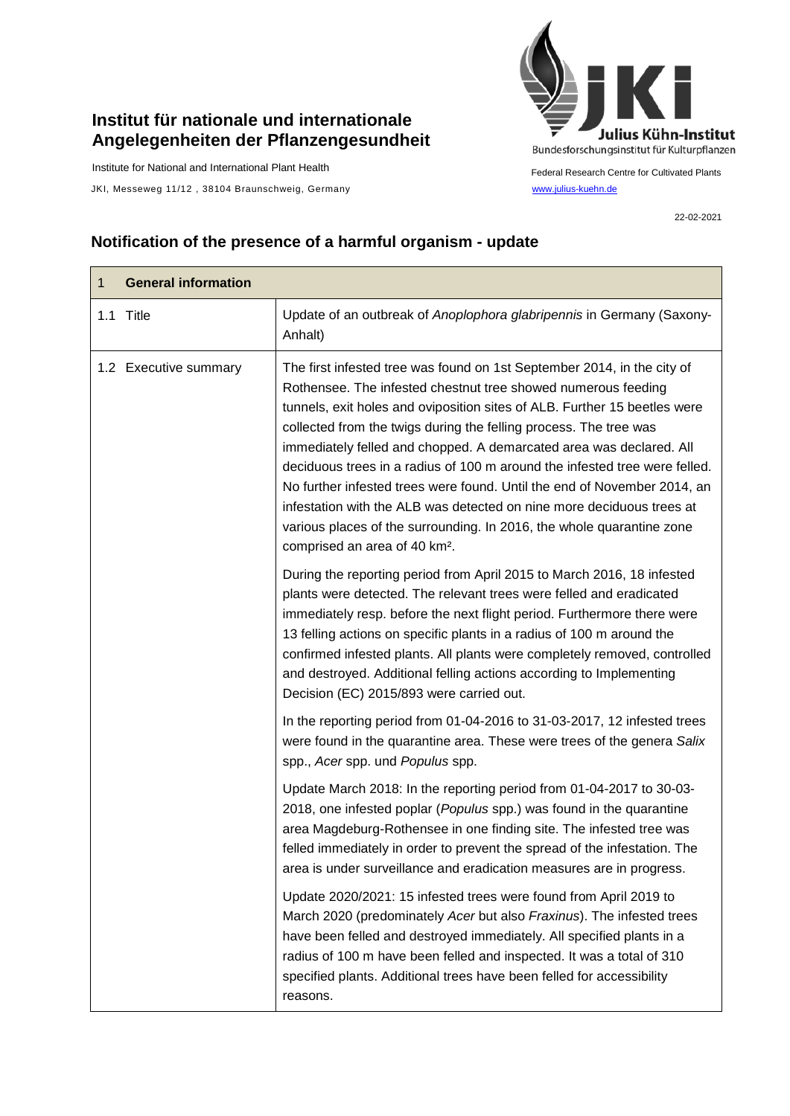## **Institut für nationale und internationale Angelegenheiten der Pflanzengesundheit**

Institute for National and International Plant Health

JKI, Messeweg 11/12, 38104 Braunschweig, Germany [www.julius-kuehn.de](http://www.julius-kuehn.de/)



Federal Research Centre for Cultivated Plants

22-02-2021

## **Notification of the presence of a harmful organism - update**

| $\mathbf{1}$ | <b>General information</b> |                                                                                                                                                                                                                                                                                                                                                                                                                                                                                                                                                                                                                                                                                                                            |
|--------------|----------------------------|----------------------------------------------------------------------------------------------------------------------------------------------------------------------------------------------------------------------------------------------------------------------------------------------------------------------------------------------------------------------------------------------------------------------------------------------------------------------------------------------------------------------------------------------------------------------------------------------------------------------------------------------------------------------------------------------------------------------------|
|              | 1.1 Title                  | Update of an outbreak of Anoplophora glabripennis in Germany (Saxony-<br>Anhalt)                                                                                                                                                                                                                                                                                                                                                                                                                                                                                                                                                                                                                                           |
|              | 1.2 Executive summary      | The first infested tree was found on 1st September 2014, in the city of<br>Rothensee. The infested chestnut tree showed numerous feeding<br>tunnels, exit holes and oviposition sites of ALB. Further 15 beetles were<br>collected from the twigs during the felling process. The tree was<br>immediately felled and chopped. A demarcated area was declared. All<br>deciduous trees in a radius of 100 m around the infested tree were felled.<br>No further infested trees were found. Until the end of November 2014, an<br>infestation with the ALB was detected on nine more deciduous trees at<br>various places of the surrounding. In 2016, the whole quarantine zone<br>comprised an area of 40 km <sup>2</sup> . |
|              |                            | During the reporting period from April 2015 to March 2016, 18 infested<br>plants were detected. The relevant trees were felled and eradicated<br>immediately resp. before the next flight period. Furthermore there were<br>13 felling actions on specific plants in a radius of 100 m around the<br>confirmed infested plants. All plants were completely removed, controlled<br>and destroyed. Additional felling actions according to Implementing<br>Decision (EC) 2015/893 were carried out.                                                                                                                                                                                                                          |
|              |                            | In the reporting period from 01-04-2016 to 31-03-2017, 12 infested trees<br>were found in the quarantine area. These were trees of the genera Salix<br>spp., Acer spp. und Populus spp.                                                                                                                                                                                                                                                                                                                                                                                                                                                                                                                                    |
|              |                            | Update March 2018: In the reporting period from 01-04-2017 to 30-03-<br>2018, one infested poplar (Populus spp.) was found in the quarantine<br>area Magdeburg-Rothensee in one finding site. The infested tree was<br>felled immediately in order to prevent the spread of the infestation. The<br>area is under surveillance and eradication measures are in progress.                                                                                                                                                                                                                                                                                                                                                   |
|              |                            | Update 2020/2021: 15 infested trees were found from April 2019 to<br>March 2020 (predominately Acer but also Fraxinus). The infested trees<br>have been felled and destroyed immediately. All specified plants in a<br>radius of 100 m have been felled and inspected. It was a total of 310<br>specified plants. Additional trees have been felled for accessibility<br>reasons.                                                                                                                                                                                                                                                                                                                                          |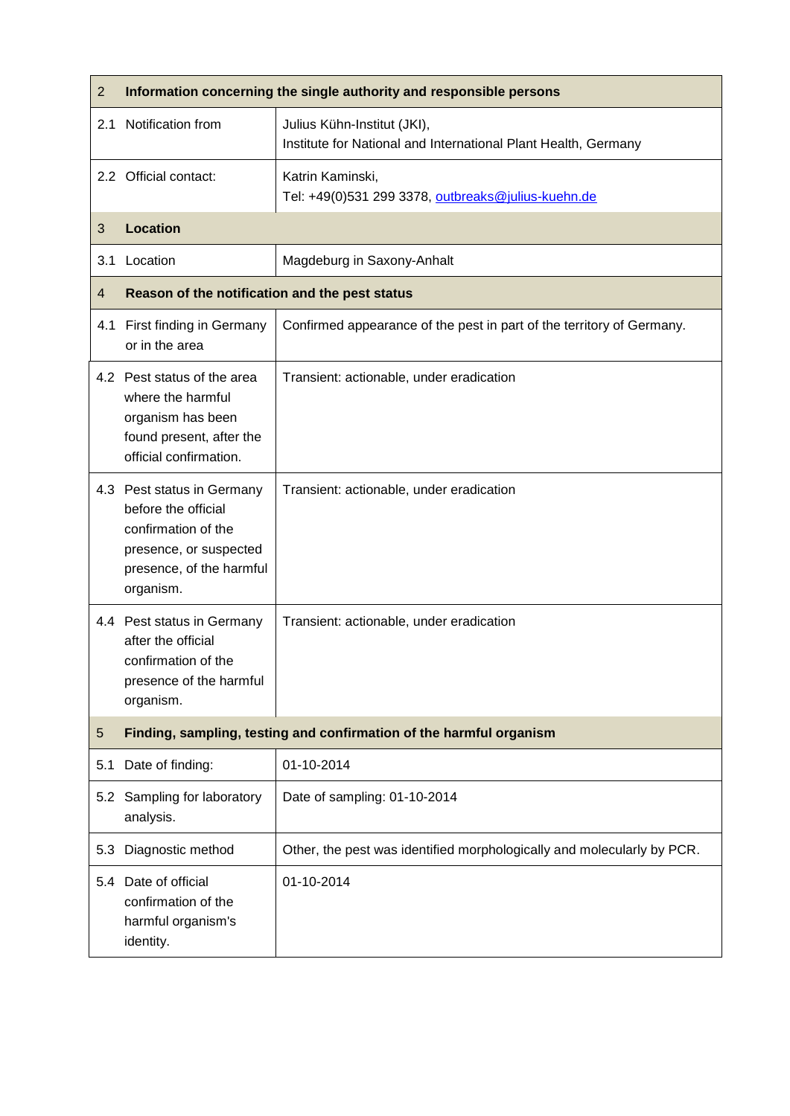| $\overline{2}$ | Information concerning the single authority and responsible persons                                                                         |                                                                                               |  |
|----------------|---------------------------------------------------------------------------------------------------------------------------------------------|-----------------------------------------------------------------------------------------------|--|
| 2.1            | Notification from                                                                                                                           | Julius Kühn-Institut (JKI),<br>Institute for National and International Plant Health, Germany |  |
|                | 2.2 Official contact:                                                                                                                       | Katrin Kaminski,<br>Tel: +49(0)531 299 3378, outbreaks@julius-kuehn.de                        |  |
| 3              | <b>Location</b>                                                                                                                             |                                                                                               |  |
| 3.1            | Location                                                                                                                                    | Magdeburg in Saxony-Anhalt                                                                    |  |
| 4              | Reason of the notification and the pest status                                                                                              |                                                                                               |  |
|                | 4.1 First finding in Germany<br>or in the area                                                                                              | Confirmed appearance of the pest in part of the territory of Germany.                         |  |
|                | 4.2 Pest status of the area<br>where the harmful<br>organism has been<br>found present, after the<br>official confirmation.                 | Transient: actionable, under eradication                                                      |  |
|                | 4.3 Pest status in Germany<br>before the official<br>confirmation of the<br>presence, or suspected<br>presence, of the harmful<br>organism. | Transient: actionable, under eradication                                                      |  |
|                | 4.4 Pest status in Germany<br>after the official<br>confirmation of the<br>presence of the harmful<br>organism.                             | Transient: actionable, under eradication                                                      |  |
| 5              | Finding, sampling, testing and confirmation of the harmful organism                                                                         |                                                                                               |  |
| 5.1            | Date of finding:                                                                                                                            | 01-10-2014                                                                                    |  |
|                | 5.2 Sampling for laboratory<br>analysis.                                                                                                    | Date of sampling: 01-10-2014                                                                  |  |
| 5.3            | Diagnostic method                                                                                                                           | Other, the pest was identified morphologically and molecularly by PCR.                        |  |
| 5.4            | Date of official<br>confirmation of the<br>harmful organism's<br>identity.                                                                  | 01-10-2014                                                                                    |  |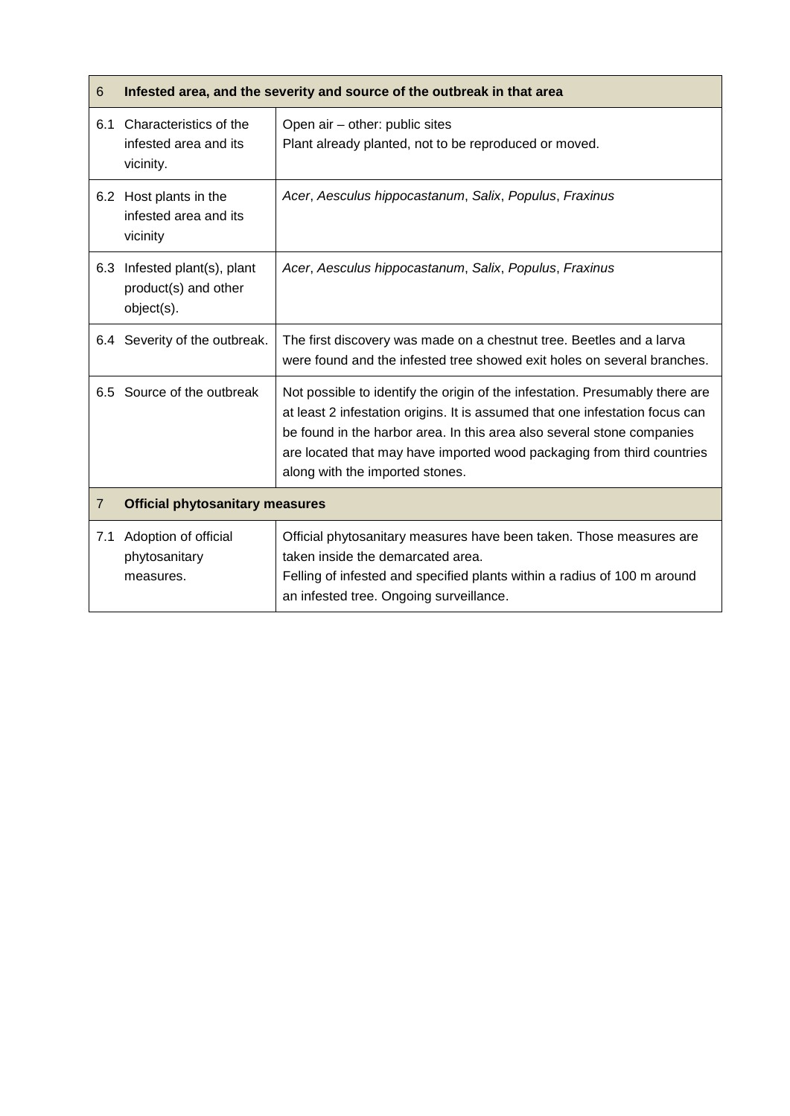| 6              | Infested area, and the severity and source of the outbreak in that area |                                                                                                                                                                                                                                                                                                                                                     |  |
|----------------|-------------------------------------------------------------------------|-----------------------------------------------------------------------------------------------------------------------------------------------------------------------------------------------------------------------------------------------------------------------------------------------------------------------------------------------------|--|
| 6.1            | Characteristics of the<br>infested area and its<br>vicinity.            | Open air - other: public sites<br>Plant already planted, not to be reproduced or moved.                                                                                                                                                                                                                                                             |  |
|                | 6.2 Host plants in the<br>infested area and its<br>vicinity             | Acer, Aesculus hippocastanum, Salix, Populus, Fraxinus                                                                                                                                                                                                                                                                                              |  |
| 6.3            | Infested plant(s), plant<br>product(s) and other<br>object(s).          | Acer, Aesculus hippocastanum, Salix, Populus, Fraxinus                                                                                                                                                                                                                                                                                              |  |
|                | 6.4 Severity of the outbreak.                                           | The first discovery was made on a chestnut tree. Beetles and a larva<br>were found and the infested tree showed exit holes on several branches.                                                                                                                                                                                                     |  |
|                | 6.5 Source of the outbreak                                              | Not possible to identify the origin of the infestation. Presumably there are<br>at least 2 infestation origins. It is assumed that one infestation focus can<br>be found in the harbor area. In this area also several stone companies<br>are located that may have imported wood packaging from third countries<br>along with the imported stones. |  |
| $\overline{7}$ | <b>Official phytosanitary measures</b>                                  |                                                                                                                                                                                                                                                                                                                                                     |  |
| 7.1            | Adoption of official<br>phytosanitary<br>measures.                      | Official phytosanitary measures have been taken. Those measures are<br>taken inside the demarcated area.<br>Felling of infested and specified plants within a radius of 100 m around<br>an infested tree. Ongoing surveillance.                                                                                                                     |  |